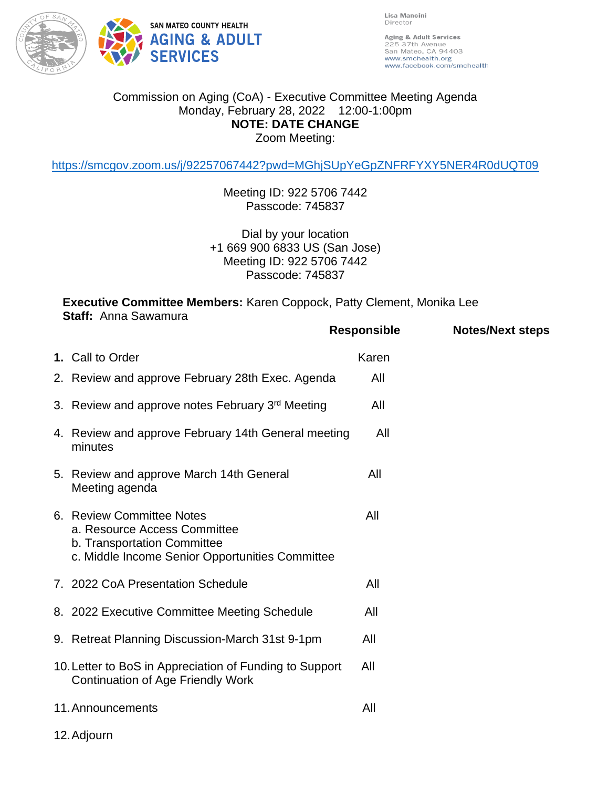

Lisa Mancini Director

Aging & Adult Services 225 37th Avenue<br>San Mateo, CA 94403 www.smchealth.org www.facebook.com/smchealth

## Commission on Aging (CoA) - Executive Committee Meeting Agenda Monday, February 28, 2022 12:00-1:00pm **NOTE: DATE CHANGE** Zoom Meeting:

<https://smcgov.zoom.us/j/92257067442?pwd=MGhjSUpYeGpZNFRFYXY5NER4R0dUQT09>

Meeting ID: 922 5706 7442 Passcode: 745837

Dial by your location +1 669 900 6833 US (San Jose) Meeting ID: 922 5706 7442 Passcode: 745837

**Executive Committee Members:** Karen Coppock, Patty Clement, Monika Lee **Staff:** Anna Sawamura

|             |                                                                                                                                             | <b>Responsible</b> | <b>Notes/Next steps</b> |
|-------------|---------------------------------------------------------------------------------------------------------------------------------------------|--------------------|-------------------------|
|             | 1. Call to Order                                                                                                                            | Karen              |                         |
|             | 2. Review and approve February 28th Exec. Agenda                                                                                            | All                |                         |
|             | 3. Review and approve notes February 3rd Meeting                                                                                            | All                |                         |
|             | 4. Review and approve February 14th General meeting<br>minutes                                                                              | All                |                         |
|             | 5. Review and approve March 14th General<br>Meeting agenda                                                                                  | All                |                         |
|             | 6. Review Committee Notes<br>a. Resource Access Committee<br>b. Transportation Committee<br>c. Middle Income Senior Opportunities Committee | All                |                         |
|             | 7. 2022 CoA Presentation Schedule                                                                                                           | All                |                         |
|             | 8. 2022 Executive Committee Meeting Schedule                                                                                                | All                |                         |
|             | 9. Retreat Planning Discussion-March 31st 9-1pm                                                                                             | All                |                         |
|             | 10. Letter to BoS in Appreciation of Funding to Support<br><b>Continuation of Age Friendly Work</b>                                         | All                |                         |
|             | 11. Announcements                                                                                                                           | All                |                         |
| 12. Adjourn |                                                                                                                                             |                    |                         |